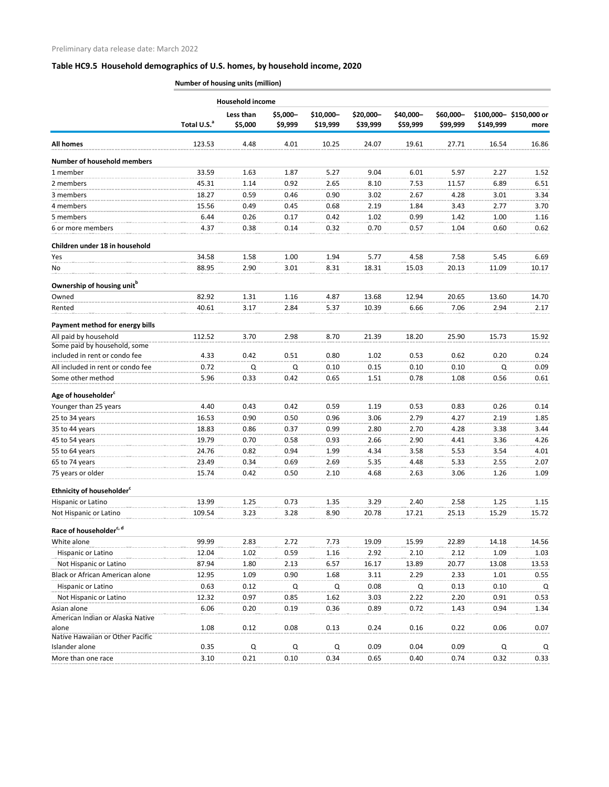## **Table HC9.5 Household demographics of U.S. homes, by household income, 2020**

**Number of housing units (million)**

|                                                               | <b>Household income</b> |                      |                     |                       |                       |                       |                       |           |                                |
|---------------------------------------------------------------|-------------------------|----------------------|---------------------|-----------------------|-----------------------|-----------------------|-----------------------|-----------|--------------------------------|
|                                                               | Total U.S. <sup>a</sup> | Less than<br>\$5,000 | \$5,000-<br>\$9,999 | \$10,000-<br>\$19,999 | \$20,000-<br>\$39,999 | \$40,000-<br>\$59,999 | \$60,000-<br>\$99,999 | \$149,999 | \$100,000-\$150,000 or<br>more |
| <b>All homes</b>                                              | 123.53                  | 4.48                 | 4.01                | 10.25                 | 24.07                 | 19.61                 | 27.71                 | 16.54     | 16.86                          |
| <b>Number of household members</b>                            |                         |                      |                     |                       |                       |                       |                       |           |                                |
| 1 member                                                      | 33.59                   | 1.63                 | 1.87                | 5.27                  | 9.04                  | 6.01                  | 5.97                  | 2.27      | 1.52                           |
| 2 members                                                     | 45.31                   | 1.14                 | 0.92                | 2.65                  | 8.10                  | 7.53                  | 11.57                 | 6.89      | 6.51                           |
| 3 members                                                     | 18.27                   | 0.59                 | 0.46                | 0.90                  | 3.02                  | 2.67                  | 4.28                  | 3.01      | 3.34                           |
| 4 members                                                     | 15.56                   | 0.49                 | 0.45                | 0.68                  | 2.19                  | 1.84                  | 3.43                  | 2.77      | 3.70                           |
| 5 members                                                     | 6.44                    | 0.26                 | 0.17                | 0.42                  | 1.02                  | 0.99                  | 1.42                  | 1.00      | 1.16                           |
| 6 or more members                                             | 4.37                    | 0.38                 | 0.14                | 0.32                  | 0.70                  | 0.57                  | 1.04                  | 0.60      | 0.62                           |
| Children under 18 in household                                |                         |                      |                     |                       |                       |                       |                       |           |                                |
| Yes                                                           | 34.58                   | 1.58                 | 1.00                | 1.94                  | 5.77                  | 4.58                  | 7.58                  | 5.45      | 6.69                           |
| No                                                            | 88.95                   | 2.90                 | 3.01                | 8.31                  | 18.31                 | 15.03                 | 20.13                 | 11.09     | 10.17                          |
| Ownership of housing unit <sup>b</sup>                        |                         |                      |                     |                       |                       |                       |                       |           |                                |
| Owned                                                         | 82.92                   | 1.31                 | 1.16                | 4.87                  | 13.68                 | 12.94                 | 20.65                 | 13.60     | 14.70                          |
| Rented                                                        | 40.61                   | 3.17                 | 2.84                | 5.37                  | 10.39                 | 6.66                  | 7.06                  | 2.94      | 2.17                           |
| Payment method for energy bills                               |                         |                      |                     |                       |                       |                       |                       |           |                                |
| All paid by household                                         | 112.52                  | 3.70                 | 2.98                | 8.70                  | 21.39                 | 18.20                 | 25.90                 | 15.73     | 15.92                          |
| Some paid by household, some<br>included in rent or condo fee | 4.33                    | 0.42                 | 0.51                | 0.80                  | 1.02                  | 0.53                  | 0.62                  | 0.20      | 0.24                           |
| All included in rent or condo fee                             | 0.72                    | Q                    | Q                   | 0.10                  | 0.15                  | 0.10                  | 0.10                  | Q         | 0.09                           |
| Some other method                                             | 5.96                    | 0.33                 | 0.42                | 0.65                  | 1.51                  | 0.78                  | 1.08                  | 0.56      | 0.61                           |
| Age of householder <sup>c</sup>                               |                         |                      |                     |                       |                       |                       |                       |           |                                |
| Younger than 25 years                                         | 4.40                    | 0.43                 | 0.42                | 0.59                  | 1.19                  | 0.53                  | 0.83                  | 0.26      | 0.14                           |
| 25 to 34 years                                                | 16.53                   | 0.90                 | 0.50                | 0.96                  | 3.06                  | 2.79                  | 4.27                  | 2.19      | 1.85                           |
| 35 to 44 years                                                | 18.83                   | 0.86                 | 0.37                | 0.99                  | 2.80                  | 2.70                  | 4.28                  | 3.38      | 3.44                           |
| 45 to 54 years                                                | 19.79                   | 0.70                 | 0.58                | 0.93                  | 2.66                  | 2.90                  | 4.41                  | 3.36      | 4.26                           |
| 55 to 64 years                                                | 24.76                   | 0.82                 | 0.94                | 1.99                  | 4.34                  | 3.58                  | 5.53                  | 3.54      | 4.01                           |
| 65 to 74 years                                                | 23.49                   | 0.34                 | 0.69                | 2.69                  | 5.35                  | 4.48                  | 5.33                  | 2.55      | 2.07                           |
| 75 years or older                                             | 15.74                   | 0.42                 | 0.50                | 2.10                  | 4.68                  | 2.63                  | 3.06                  | 1.26      | 1.09                           |
| Ethnicity of householder <sup>c</sup>                         |                         |                      |                     |                       |                       |                       |                       |           |                                |
| Hispanic or Latino                                            | 13.99                   | 1.25                 | 0.73                | 1.35                  | 3.29                  | 2.40                  | 2.58                  | 1.25      | 1.15                           |
| Not Hispanic or Latino                                        | 109.54                  | 3.23                 | 3.28                | 8.90                  | 20.78                 | 17.21                 | 25.13                 | 15.29     | 15.72                          |
| Race of householder <sup>c, d</sup>                           |                         |                      |                     |                       |                       |                       |                       |           |                                |
| White alone                                                   | 99.99                   | 2.83                 | 2.72                | 7.73                  | 19.09                 | 15.99                 | 22.89                 | 14.18     | 14.56                          |
| Hispanic or Latino                                            | 12.04                   | 1.02                 | 0.59                | 1.16                  | 2.92                  | 2.10                  | 2.12                  | 1.09      | 1.03                           |
| Not Hispanic or Latino                                        | 87.94                   | 1.80                 | 2.13                | 6.57                  | 16.17                 | 13.89                 | 20.77                 | 13.08     | 13.53                          |
| <b>Black or African American alone</b>                        | 12.95                   | 1.09                 | 0.90                | 1.68                  | 3.11                  | 2.29                  | 2.33                  | 1.01      | 0.55                           |
| Hispanic or Latino                                            | 0.63                    | 0.12                 | Q                   | Q                     | 0.08                  | Q                     | 0.13                  | 0.10      | Q                              |
| Not Hispanic or Latino                                        | 12.32                   | 0.97                 | 0.85                | 1.62                  | 3.03                  | 2.22                  | 2.20                  | 0.91      | 0.53                           |
| Asian alone                                                   | 6.06                    | 0.20                 | 0.19                | 0.36                  | 0.89                  | 0.72                  | 1.43                  | 0.94      | 1.34                           |
| American Indian or Alaska Native                              |                         |                      |                     |                       |                       |                       |                       |           |                                |
| alone                                                         | 1.08                    | 0.12                 | 0.08                | 0.13                  | 0.24                  | 0.16                  | 0.22                  | 0.06      | 0.07                           |
| Native Hawaiian or Other Pacific                              |                         |                      |                     |                       |                       |                       |                       |           |                                |
| Islander alone                                                | 0.35                    | Q                    | Q                   | Q                     | 0.09                  | 0.04                  | 0.09                  | Q         | Q                              |
| More than one race                                            | 3.10                    | 0.21                 | 0.10                | 0.34                  | 0.65                  | 0.40                  | 0.74                  | 0.32      | 0.33                           |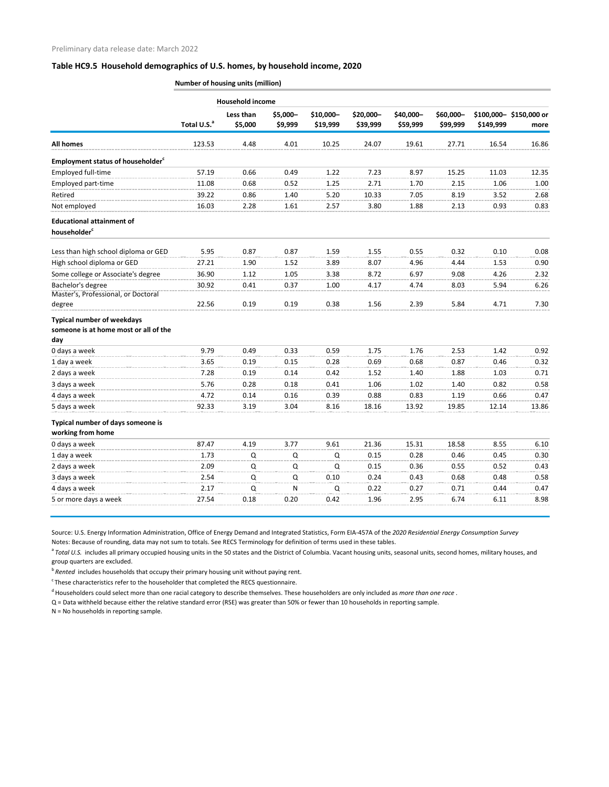## **Table HC9.5 Household demographics of U.S. homes, by household income, 2020**

|                                                        | Number of housing units (million) |                      |                     |                       |                       |                       |                       |           |                                |
|--------------------------------------------------------|-----------------------------------|----------------------|---------------------|-----------------------|-----------------------|-----------------------|-----------------------|-----------|--------------------------------|
|                                                        | <b>Household income</b>           |                      |                     |                       |                       |                       |                       |           |                                |
|                                                        | Total U.S. <sup>a</sup>           | Less than<br>\$5,000 | \$5,000-<br>\$9,999 | \$10,000-<br>\$19,999 | \$20,000-<br>\$39,999 | \$40,000-<br>\$59,999 | \$60,000-<br>\$99,999 | \$149,999 | \$100,000-\$150,000 or<br>more |
| <b>All homes</b>                                       | 123.53                            | 4.48                 | 4.01                | 10.25                 | 24.07                 | 19.61                 | 27.71                 | 16.54     | 16.86                          |
| <b>Employment status of householder</b> <sup>c</sup>   |                                   |                      |                     |                       |                       |                       |                       |           |                                |
| Employed full-time                                     | 57.19                             | 0.66                 | 0.49                | 1.22                  | 7.23                  | 8.97                  | 15.25                 | 11.03     | 12.35                          |
| Employed part-time                                     | 11.08                             | 0.68                 | 0.52                | 1.25                  | 2.71                  | 1.70                  | 2.15                  | 1.06      | 1.00                           |
| Retired                                                | 39.22                             | 0.86                 | 1.40                | 5.20                  | 10.33                 | 7.05                  | 8.19                  | 3.52      | 2.68                           |
| Not employed                                           | 16.03                             | 2.28                 | 1.61                | 2.57                  | 3.80                  | 1.88                  | 2.13                  | 0.93      | 0.83                           |
| <b>Educational attainment of</b>                       |                                   |                      |                     |                       |                       |                       |                       |           |                                |
| householder <sup>c</sup>                               |                                   |                      |                     |                       |                       |                       |                       |           |                                |
| Less than high school diploma or GED                   | 5.95                              | 0.87                 | 0.87                | 1.59                  | 1.55                  | 0.55                  | 0.32                  | 0.10      | 0.08                           |
| High school diploma or GED                             | 27.21                             | 1.90                 | 1.52                | 3.89                  | 8.07                  | 4.96                  | 4.44                  | 1.53      | 0.90                           |
| Some college or Associate's degree                     | 36.90                             | 1.12                 | 1.05                | 3.38                  | 8.72                  | 6.97                  | 9.08                  | 4.26      | 2.32                           |
| Bachelor's degree                                      | 30.92                             | 0.41                 | 0.37                | 1.00                  | 4.17                  | 4.74                  | 8.03                  | 5.94      | 6.26                           |
| Master's, Professional, or Doctoral                    |                                   |                      |                     |                       |                       |                       |                       |           |                                |
| degree                                                 | 22.56                             | 0.19                 | 0.19                | 0.38                  | 1.56                  | 2.39                  | 5.84                  | 4.71      | 7.30                           |
| <b>Typical number of weekdays</b>                      |                                   |                      |                     |                       |                       |                       |                       |           |                                |
| someone is at home most or all of the                  |                                   |                      |                     |                       |                       |                       |                       |           |                                |
| day                                                    |                                   |                      |                     |                       |                       |                       |                       |           |                                |
| 0 days a week                                          | 9.79                              | 0.49                 | 0.33                | 0.59                  | 1.75                  | 1.76                  | 2.53                  | 1.42      | 0.92                           |
| 1 day a week                                           | 3.65                              | 0.19                 | 0.15                | 0.28                  | 0.69                  | 0.68                  | 0.87                  | 0.46      | 0.32                           |
| 2 days a week                                          | 7.28                              | 0.19                 | 0.14                | 0.42                  | 1.52                  | 1.40                  | 1.88                  | 1.03      | 0.71                           |
| 3 days a week                                          | 5.76                              | 0.28                 | 0.18                | 0.41                  | 1.06                  | 1.02                  | 1.40                  | 0.82      | 0.58                           |
| 4 days a week                                          | 4.72                              | 0.14                 | 0.16                | 0.39                  | 0.88                  | 0.83                  | 1.19                  | 0.66      | 0.47                           |
| 5 days a week                                          | 92.33                             | 3.19                 | 3.04                | 8.16                  | 18.16                 | 13.92                 | 19.85                 | 12.14     | 13.86                          |
| Typical number of days someone is<br>working from home |                                   |                      |                     |                       |                       |                       |                       |           |                                |
| 0 days a week                                          | 87.47                             | 4.19                 | 3.77                | 9.61                  | 21.36                 | 15.31                 | 18.58                 | 8.55      | 6.10                           |
| 1 day a week                                           | 1.73                              | Q                    | Q                   | Q                     | 0.15                  | 0.28                  | 0.46                  | 0.45      | 0.30                           |
| 2 days a week                                          | 2.09                              | Q                    | Q                   | Q                     | 0.15                  | 0.36                  | 0.55                  | 0.52      | 0.43                           |
| 3 days a week                                          | 2.54                              | $\mathsf Q$          | $\mathsf Q$         | 0.10                  | 0.24                  | 0.43                  | 0.68                  | 0.48      | 0.58                           |
| 4 days a week                                          | 2.17                              | Q                    | N                   | Q                     | 0.22                  | 0.27                  | 0.71                  | 0.44      | 0.47                           |
| 5 or more days a week                                  | 27.54                             | 0.18                 | 0.20                | 0.42                  | 1.96                  | 2.95                  | 6.74                  | 6.11      | 8.98                           |
|                                                        |                                   |                      |                     |                       |                       |                       |                       |           |                                |

Source: U.S. Energy Information Administration, Office of Energy Demand and Integrated Statistics, Form EIA-457A of the *2020 Residential Energy Consumption Survey*

Notes: Because of rounding, data may not sum to totals. See RECS Terminology for definition of terms used in these tables.

<sup>a</sup> Total U.S. includes all primary occupied housing units in the 50 states and the District of Columbia. Vacant housing units, seasonal units, second homes, military houses, and

group quarters are excluded.

b<sup>b</sup> Rented includes households that occupy their primary housing unit without paying rent.

 $\textdegree$  These characteristics refer to the householder that completed the RECS questionnaire.

d Householders could select more than one racial category to describe themselves. These householders are only included as *more than one race* .

Q = Data withheld because either the relative standard error (RSE) was greater than 50% or fewer than 10 households in reporting sample.

N = No households in reporting sample.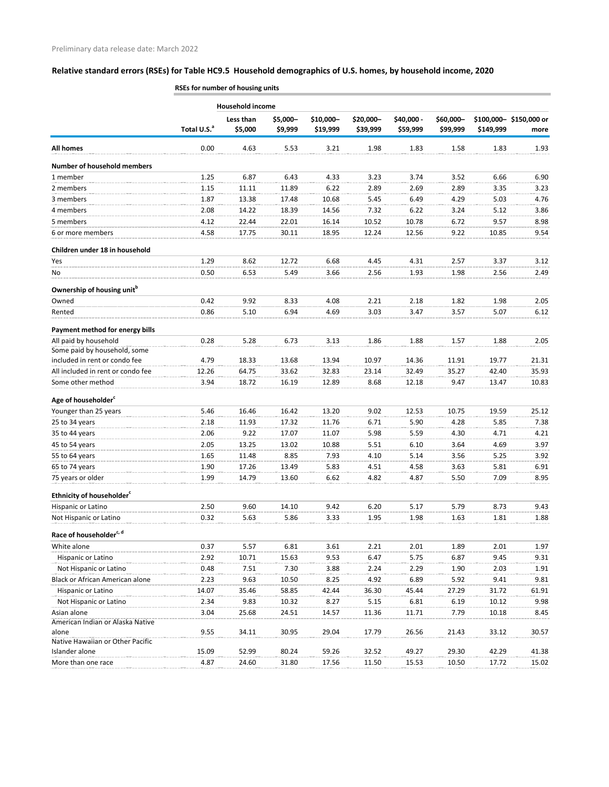## **Relative standard errors (RSEs) for Table HC9.5 Household demographics of U.S. homes, by household income, 2020**

|                                                       | <b>Household income</b> |                      |                     |                       |                       |                        |                       |           |                                |
|-------------------------------------------------------|-------------------------|----------------------|---------------------|-----------------------|-----------------------|------------------------|-----------------------|-----------|--------------------------------|
|                                                       | Total U.S. <sup>a</sup> | Less than<br>\$5,000 | \$5,000-<br>\$9,999 | \$10,000-<br>\$19,999 | \$20,000-<br>\$39,999 | \$40,000 -<br>\$59,999 | \$60,000-<br>\$99,999 | \$149,999 | \$100,000-\$150,000 or<br>more |
| <b>All homes</b>                                      | 0.00                    | 4.63                 | 5.53                | 3.21                  | 1.98                  | 1.83                   | 1.58                  | 1.83      | 1.93                           |
| <b>Number of household members</b>                    |                         |                      |                     |                       |                       |                        |                       |           |                                |
| 1 member                                              | 1.25                    | 6.87                 | 6.43                | 4.33                  | 3.23                  | 3.74                   | 3.52                  | 6.66      | 6.90                           |
| 2 members                                             | 1.15                    | 11.11                | 11.89               | 6.22                  | 2.89                  | 2.69                   | 2.89                  | 3.35      | 3.23                           |
| 3 members                                             | 1.87                    | 13.38                | 17.48               | 10.68                 | 5.45                  | 6.49                   | 4.29                  | 5.03      | 4.76                           |
| 4 members                                             | 2.08                    | 14.22                | 18.39               | 14.56                 | 7.32                  | 6.22                   | 3.24                  | 5.12      | 3.86                           |
| 5 members                                             | 4.12                    | 22.44                | 22.01               | 16.14                 | 10.52                 | 10.78                  | 6.72                  | 9.57      | 8.98                           |
| 6 or more members                                     | 4.58                    | 17.75                | 30.11               | 18.95                 | 12.24                 | 12.56                  | 9.22                  | 10.85     | 9.54                           |
| Children under 18 in household                        |                         |                      |                     |                       |                       |                        |                       |           |                                |
| Yes                                                   | 1.29                    | 8.62                 | 12.72               | 6.68                  | 4.45                  | 4.31                   | 2.57                  | 3.37      | 3.12                           |
| No                                                    | 0.50                    | 6.53                 | 5.49                | 3.66                  | 2.56                  | 1.93                   | 1.98                  | 2.56      | 2.49                           |
|                                                       |                         |                      |                     |                       |                       |                        |                       |           |                                |
| Ownership of housing unit <sup>b</sup>                | 0.42                    |                      |                     |                       |                       |                        |                       |           |                                |
| Owned<br>Rented                                       |                         | 9.92                 | 8.33                | 4.08                  | 2.21                  | 2.18                   | 1.82                  | 1.98      | 2.05                           |
|                                                       | 0.86                    | 5.10                 | 6.94                | 4.69                  | 3.03                  | 3.47                   | 3.57                  | 5.07      | 6.12                           |
| Payment method for energy bills                       |                         |                      |                     |                       |                       |                        |                       |           |                                |
| All paid by household<br>Some paid by household, some | 0.28                    | 5.28                 | 6.73                | 3.13                  | 1.86                  | 1.88                   | 1.57                  | 1.88      | 2.05                           |
| included in rent or condo fee                         | 4.79                    | 18.33                | 13.68               | 13.94                 | 10.97                 | 14.36                  | 11.91                 | 19.77     | 21.31                          |
| All included in rent or condo fee                     | 12.26                   | 64.75                | 33.62               | 32.83                 | 23.14                 | 32.49                  | 35.27                 | 42.40     | 35.93                          |
| Some other method                                     | 3.94                    | 18.72                | 16.19               | 12.89                 | 8.68                  | 12.18                  | 9.47                  | 13.47     | 10.83                          |
|                                                       |                         |                      |                     |                       |                       |                        |                       |           |                                |
| Age of householder <sup>c</sup>                       |                         |                      |                     |                       |                       |                        |                       |           |                                |
| Younger than 25 years                                 | 5.46                    | 16.46                | 16.42               | 13.20                 | 9.02                  | 12.53                  | 10.75                 | 19.59     | 25.12                          |
| 25 to 34 years                                        | 2.18                    | 11.93                | 17.32               | 11.76                 | 6.71                  | 5.90                   | 4.28                  | 5.85      | 7.38                           |
| 35 to 44 years                                        | 2.06                    | 9.22                 | 17.07               | 11.07                 | 5.98                  | 5.59                   | 4.30                  | 4.71      | 4.21                           |
| 45 to 54 years                                        | 2.05                    | 13.25                | 13.02               | 10.88                 | 5.51                  | 6.10                   | 3.64                  | 4.69      | 3.97                           |
| 55 to 64 years                                        | 1.65                    | 11.48                | 8.85                | 7.93                  | 4.10                  | 5.14                   | 3.56                  | 5.25      | 3.92                           |
| 65 to 74 years                                        | 1.90                    | 17.26                | 13.49               | 5.83                  | 4.51                  | 4.58                   | 3.63                  | 5.81      | 6.91                           |
| 75 years or older                                     | 1.99                    | 14.79                | 13.60               | 6.62                  | 4.82                  | 4.87                   | 5.50                  | 7.09      | 8.95                           |
| Ethnicity of householder <sup>c</sup>                 |                         |                      |                     |                       |                       |                        |                       |           |                                |
| Hispanic or Latino                                    | 2.50                    | 9.60                 | 14.10               | 9.42                  | 6.20                  | 5.17                   | 5.79                  | 8.73      | 9.43                           |
| Not Hispanic or Latino                                | 0.32                    | 5.63                 | 5.86                | 3.33                  | 1.95                  | 1.98                   | 1.63                  | 1.81      | 1.88                           |
| Race of householder <sup>c, d</sup>                   |                         |                      |                     |                       |                       |                        |                       |           |                                |
| White alone                                           | 0.37                    | 5.57                 | 6.81                | 3.61                  | 2.21                  | 2.01                   | 1.89                  | 2.01      | 1.97                           |
| Hispanic or Latino                                    | 2.92                    | 10.71                | 15.63               | 9.53                  | 6.47                  | 5.75                   | 6.87                  | 9.45      | 9.31                           |
| Not Hispanic or Latino                                | 0.48                    | 7.51                 | 7.30                | 3.88                  | 2.24                  | 2.29                   | 1.90                  | 2.03      | 1.91                           |
| Black or African American alone                       | 2.23                    | 9.63                 | 10.50               | 8.25                  | 4.92                  | 6.89                   | 5.92                  | 9.41      | 9.81                           |
| Hispanic or Latino                                    | 14.07                   | 35.46                | 58.85               | 42.44                 | 36.30                 | 45.44                  | 27.29                 | 31.72     | 61.91                          |
| Not Hispanic or Latino                                | 2.34                    | 9.83                 | 10.32               | 8.27                  | 5.15                  | 6.81                   | 6.19                  | 10.12     | 9.98                           |
| Asian alone                                           | 3.04                    | 25.68                | 24.51               | 14.57                 | 11.36                 | 11.71                  | 7.79                  | 10.18     | 8.45                           |
| American Indian or Alaska Native                      |                         |                      |                     |                       |                       |                        |                       |           |                                |
| alone                                                 | 9.55                    | 34.11                | 30.95               | 29.04                 | 17.79                 | 26.56                  | 21.43                 | 33.12     | 30.57                          |
| Native Hawaiian or Other Pacific                      |                         |                      |                     |                       |                       |                        |                       |           |                                |
| Islander alone                                        | 15.09                   | 52.99                | 80.24               | 59.26                 | 32.52                 | 49.27                  | 29.30                 | 42.29     | 41.38                          |
| More than one race                                    | 4.87                    | 24.60                | 31.80               | 17.56                 | 11.50                 | 15.53                  | 10.50                 | 17.72     | 15.02                          |

**RSEs for number of housing units**